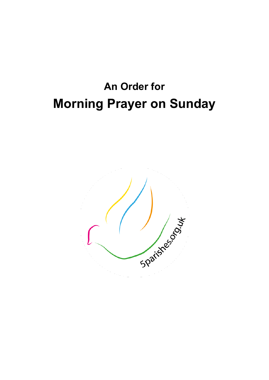# **An Order for Morning Prayer on Sunday**

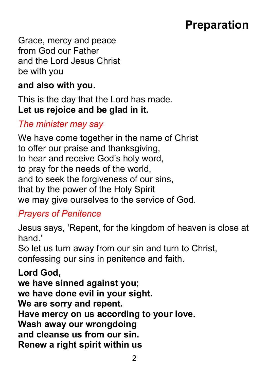## **Preparation**

Grace, mercy and peace from God our Father and the Lord Jesus Christ be with you

#### **and also with you.**

This is the day that the Lord has made. **Let us rejoice and be glad in it.**

### *The minister may say*

We have come together in the name of Christ to offer our praise and thanksgiving, to hear and receive God's holy word, to pray for the needs of the world, and to seek the forgiveness of our sins, that by the power of the Holy Spirit we may give ourselves to the service of God.

### *Prayers of Penitence*

Jesus says, 'Repent, for the kingdom of heaven is close at hand<sup>'</sup>

So let us turn away from our sin and turn to Christ, confessing our sins in penitence and faith.

**Lord God, we have sinned against you; we have done evil in your sight. We are sorry and repent. Have mercy on us according to your love. Wash away our wrongdoing and cleanse us from our sin. Renew a right spirit within us**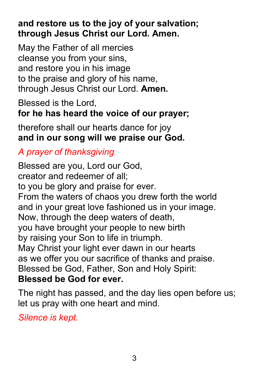### **and restore us to the joy of your salvation; through Jesus Christ our Lord. Amen.**

May the Father of all mercies cleanse you from your sins, and restore you in his image to the praise and glory of his name, through Jesus Christ our Lord. **Amen.**

Blessed is the Lord, **for he has heard the voice of our prayer;**

therefore shall our hearts dance for joy **and in our song will we praise our God.**

### *A prayer of thanksgiving*

Blessed are you, Lord our God, creator and redeemer of all; to you be glory and praise for ever. From the waters of chaos you drew forth the world and in your great love fashioned us in your image. Now, through the deep waters of death, you have brought your people to new birth by raising your Son to life in triumph. May Christ your light ever dawn in our hearts as we offer you our sacrifice of thanks and praise. Blessed be God, Father, Son and Holy Spirit: **Blessed be God for ever.**

The night has passed, and the day lies open before us; let us pray with one heart and mind.

*Silence is kept.*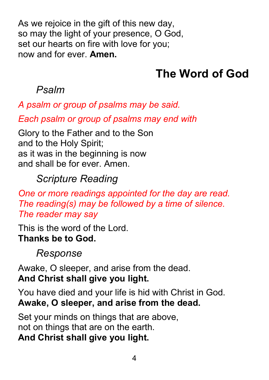As we rejoice in the gift of this new day, so may the light of your presence, O God, set our hearts on fire with love for you; now and for ever. **Amen.**

## **The Word of God**

## *Psalm*

*A psalm or group of psalms may be said.*

*Each psalm or group of psalms may end with*

Glory to the Father and to the Son and to the Holy Spirit; as it was in the beginning is now and shall be for ever. Amen.

## *Scripture Reading*

*One or more readings appointed for the day are read. The reading(s) may be followed by a time of silence. The reader may say*

This is the word of the Lord. **Thanks be to God.**

## *Response*

Awake, O sleeper, and arise from the dead. **And Christ shall give you light.**

You have died and your life is hid with Christ in God. **Awake, O sleeper, and arise from the dead.**

Set your minds on things that are above, not on things that are on the earth. **And Christ shall give you light.**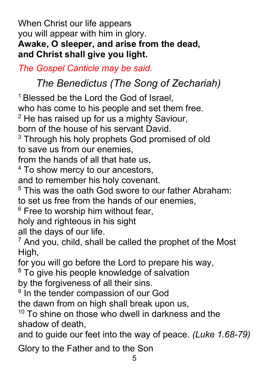When Christ our life appears you will appear with him in glory. **Awake, O sleeper, and arise from the dead, and Christ shall give you light.**

*The Gospel Canticle may be said.*

## *The Benedictus (The Song of Zechariah)*

<sup>1</sup> Blessed be the Lord the God of Israel,

who has come to his people and set them free.

 $2$  He has raised up for us a mighty Saviour,

born of the house of his servant David.

<sup>3</sup> Through his holy prophets God promised of old to save us from our enemies,

from the hands of all that hate us,

<sup>4</sup> To show mercy to our ancestors,

and to remember his holy covenant.

 $5$  This was the oath God swore to our father Abraham: to set us free from the hands of our enemies,

 $6$  Free to worship him without fear.

holy and righteous in his sight

all the days of our life.

 $<sup>7</sup>$  And you, child, shall be called the prophet of the Most</sup> High,

for you will go before the Lord to prepare his way,

<sup>8</sup> To give his people knowledge of salvation

by the forgiveness of all their sins.

<sup>9</sup> In the tender compassion of our God

the dawn from on high shall break upon us,

 $10$  To shine on those who dwell in darkness and the shadow of death,

and to guide our feet into the way of peace. *(Luke 1.68-79)*

Glory to the Father and to the Son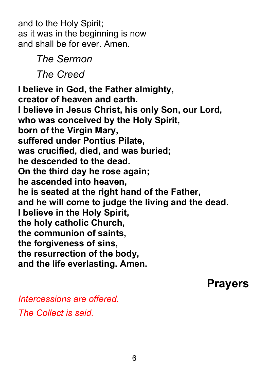and to the Holy Spirit; as it was in the beginning is now and shall be for ever. Amen.

*The Sermon* 

*The Creed*

**I believe in God, the Father almighty, creator of heaven and earth. I believe in Jesus Christ, his only Son, our Lord, who was conceived by the Holy Spirit, born of the Virgin Mary, suffered under Pontius Pilate, was crucified, died, and was buried; he descended to the dead. On the third day he rose again; he ascended into heaven, he is seated at the right hand of the Father, and he will come to judge the living and the dead. I believe in the Holy Spirit, the holy catholic Church, the communion of saints, the forgiveness of sins, the resurrection of the body, and the life everlasting. Amen.**

**Prayers**

*Intercessions are offered. The Collect is said.*